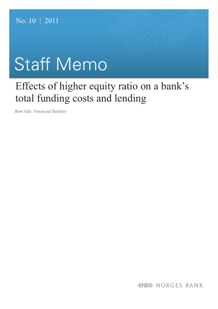# Staff Memo

## Effects of higher equity ratio on a bank's total funding costs and lending

*Bent Vale, Financial Stability*

*&NB& NORGES BANK*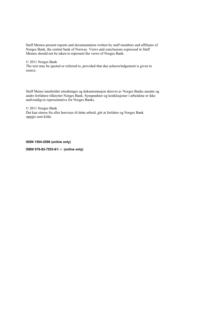Staff Memos present reports and documentation written by staff members and affiliates of Norges Bank, the central bank of Norway. Views and conclusions expressed in Staff Memos should not be taken to represent the views of Norges Bank.

#### © 2011 Norges Bank

The text may be quoted or referred to, provided that due acknowledgement is given to source.

Staff Memo inneholder utredninger og dokumentasjon skrevet av Norges Banks ansatte og andre forfattere tilknyttet Norges Bank. Synspunkter og konklusjoner i arbeidene er ikke nødvendigvis representative for Norges Banks.

© 2011 Norges Bank Det kan siteres fra eller henvises til dette arbeid, gitt at forfatter og Norges Bank oppgis som kilde.

#### **ISSN 1504-2596 (online only)**

**ISBN 978-82-7553-61- (online only)**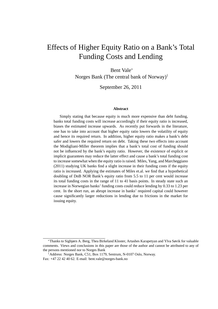### Effects of Higher Equity Ratio on a Bank's Total Funding Costs and Lending

Bent Vale Norges Bank (The central bank of Norway)<sup>†</sup>

September 26, 2011

#### **Abstract**

Simply stating that because equity is much more expensive than debt funding, banks total funding costs will increase accordingly if their equity ratio is increased, biases the estimated increase upwards. As recently put forwards in the literature, one has to take into account that higher equity ratio lowers the volatility of equity and hence its required return. In addition, higher equity ratio makes a bank's debt safer and lowers the required return on debt. Taking these two effects into account the Modigliani-Miller theorem implies that a bank's total cost of funding should not be influenced by the bank's equity ratio. However, the existence of explicit or implicit guarantees may reduce the latter effect and cause a bank's total funding cost to increase somewhat when the equity ratio is raised. Miles, Yang, and Marcheggiano (2011) studying UK banks find a slight increase in their funding costs if the equity ratio is increased. Applying the estimates of Miles et.al. we find that a hypothetical doubling of DnB NOR Bank's equity ratio from 5.5 to 11 per cent would increase its total funding costs in the range of 11 to 41 basis points. In steady state such an increase in Norwegian banks' funding costs could reduce lending by 0.33 to 1.23 per cent. In the short run, an abrupt increase in banks' required capital could however cause significantly larger reductions in lending due to frictions in the market for issuing equity.

Thanks to Sigbjørn A. Berg, Thea Birkeland Kloster, Artashes Karapetyan and Ylva Søvik for valuable comments. Views and conclusions in this paper are those of the author and cannot be attributed to any of the persons mentioned nor to Norges Bank

Address: Norges Bank, C51, Box 1179, Sentrum, N-0107 Oslo, Norway. Fax: +47 22 42 40 62. E-mail: bent.vale@norges-bank.no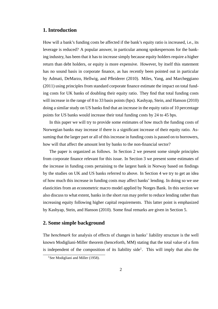#### **1. Introduction**

How will a bank's funding costs be affected if the bank's equity ratio is increased, i.e., its leverage is reduced? A popular answer, in particular among spokespersons for the banking industry, has been that it has to increase simply because equity holders require a higher return than debt holders, or equity is more expensive. However, by itself this statement has no sound basis in corporate finance, as has recently been pointed out in particular by Admati, DeMarzo, Hellwig, and Pfleiderer (2010). Miles, Yang, and Marcheggiano (2011) using principles from standard corporate finance estimate the impact on total funding costs for UK banks of doubling their equity ratio. They find that total funding costs will increase in the range of 8 to 33 basis points (bps). Kashyap, Stein, and Hanson (2010) doing a similar study on US banks find that an increase in the equity ratio of 10 percentage points for US banks would increase their total funding costs by 24 to 45 bps.

In this paper we will try to provide some estimates of how much the funding costs of Norwegian banks may increase if there is a significant increase of their equity ratio. Assuming that the larger part or all of this increase in funding costs is passed on to borrowers, how will that affect the amount lent by banks to the non-financial sector?

The paper is organized as follows. In Section 2 we present some simple principles from corporate finance relevant for this issue. In Section 3 we present some estimates of the increase in funding costs pertaining to the largest bank in Norway based on findings by the studies on UK and US banks referred to above. In Section 4 we try to get an idea of how much this increase in funding costs may affect banks' lending. In doing so we use elasticities from an econometric macro model applied by Norges Bank. In this section we also discuss to what extent, banks in the short run may prefer to reduce lending rather than increasing equity following higher capital requirements. This latter point is emphasized by Kashyap, Stein, and Hanson (2010). Some final remarks are given in Section 5.

#### **2. Some simple background**

The *benchmark* for analysis of effects of changes in banks' liability structure is the well known Modigliani-Miller theorem (henceforth, MM) stating that the total value of a firm is independent of the composition of its liability side<sup>1</sup>. This will imply that also the

<sup>&</sup>lt;sup>1</sup>See Modigliani and Miller (1958).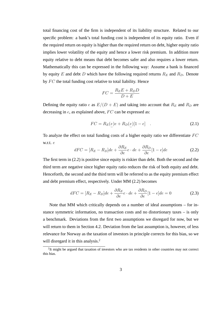total financing cost of the firm is independent of its liability structure. Related to our specific problem: a bank's total funding cost is independent of its equity ratio. Even if the required return on equity is higher than the required return on debt, higher equity ratio implies lower volatility of the equity and hence a lower risk premium. In addition more equity relative to debt means that debt becomes safer and also requires a lower return. Mathematically this can be expressed in the following way: Assume a bank is financed by equity E and debt D which have the following required returns  $R_E$  and  $R_D$ . Denote by  $FC$  the total funding cost relative to total liability. Hence

$$
FC = \frac{R_E E + R_D D}{D + E}
$$

Defining the equity ratio e as  $E/(D + E)$  and taking into account that  $R_E$  and  $R_D$  are decreasing in  $e$ , as explained above,  $FC$  can be expressed as:

$$
FC = R_E(e)e + R_D(e)[1 - e] . \t\t(2.1)
$$

To analyze the effect on total funding costs of a higher equity ratio we differentiate  $FC$ w.r.t. e

$$
dFC = [R_E - R_D]de + \frac{\partial R_E}{\partial e}e \cdot de + \frac{\partial R_D}{\partial e}[1 - e]de \qquad (2.2)
$$

The first term in (2.2) is positive since equity is riskier than debt. Both the second and the third term are negative since higher equity ratio reduces the risk of both equity and debt. Henceforth, the second and the third term will be referred to as the equity premium effect and debt premium effect, respectively. Under MM (2.2) becomes

$$
dFC = [R_E - R_D]de + \frac{\partial R_E}{\partial e}e \cdot de + \frac{\partial R_D}{\partial e}[1 - e]de = 0 \tag{2.3}
$$

Note that MM which critically depends on a number of ideal assumptions – for instance symmetric information, no transaction costs and no distortionary taxes – is only a benchmark. Deviations from the first two assumptions we disregard for now, but we will return to them in Section 4.2. Deviation from the last assumption is, however, of less relevance for Norway as the taxation of investors in principle corrects for this bias, so we will disregard it in this analysis.<sup>2</sup>

<sup>&</sup>lt;sup>2</sup>It might be argued that taxation of investors who are tax residents in other countries may not correct this bias.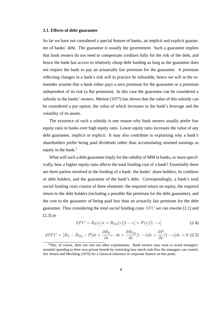#### **2.1. Effects of debt guarantee**

So far we have not considered a special feature of banks, an implicit and explicit guarantee of banks' debt. The guarantor is usually the government. Such a guarantee implies that bank owners do not need to compensate creditors fully for the risk of the debt, and hence the bank has access to relatively cheap debt funding as long as the guarantor does not require the bank to pay an actuarially fair premium for the guarantee. A premium reflecting changes in a bank's risk will in practice be infeasible, hence we will in the remainder assume that a bank either pays a zero premium for the guarantee or a premium independent of its risk (a flat premium). In this case the guarantee can be considered a subsidy to the banks' owners. Merton (1977) has shown that the value of this subsidy can be considered a put option, the value of which increases in the bank's leverage and the volatility of its assets.

The existence of such a subsidy is one reason why bank owners usually prefer low equity ratio in banks over high equity ratio. Lower equity ratio increases the value of any debt guarantee, implicit or explicit. It may also contribute to explaining why a bank's shareholders prefer being paid dividends rather than accumulating retained earnings as equity in the bank.<sup>3</sup>

What will such a debt guarantee imply for the validity of MM in banks, or more specifically, how a higher equity ratio affects the total funding cost of a bank? Essentially there are three parties involved in the funding of a bank: the banks' share holders, its creditors or debt holders, and the guarantor of the bank's debt. Correspondingly, a bank's total *social* funding costs consist of three elements: the required return on equity, the required return to the debt holders (including a possible flat premium for the debt guarantee), and the cost to the guarantor of being paid less than an actuarily fair premium for the debt guarantee. Thus considering the total *social* funding costs *SFC* we can rewrite (2.1) and (2.3) as

$$
SFC = R_E(e)e + R_{Dg}(e)[1 - e] + P(e)[1 - e]
$$
\n(2.4)

$$
dSFC = [R_E - R_{Dg} - P]de + \frac{\partial R_E}{\partial e}e \cdot de + \frac{\partial R_{Dg}}{\partial e}[1 - e]de + \frac{\partial P}{\partial e}[1 - e]de = 0 \tag{2.5}
$$

 $3$ This, of course, does not rule out other explanations. Bank owners may want to avoid managers' wasteful spending to their own private benefit by restricting how much cash flow the managers can control. See Jensen and Meckling (1976) for a classical reference in corporate finance on this point.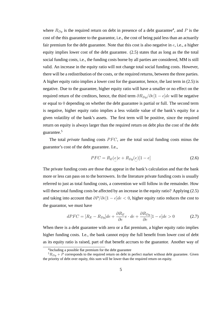where  $R_{Dg}$  is the required return on debt in presence of a debt guarantee<sup>4</sup>, and P is the cost of the this guarantee to the guarantor, i.e., the cost of being paid less than an actuarily fair premium for the debt guarantee. Note that this cost is also negative in  $e$ , i.e., a higher equity implies lower cost of the debt guarantee. (2.5) states that as long as the the total social funding costs, i.e., the funding costs borne by all parties are considered, MM is still valid. An increase in the equity ratio will not change total social funding costs. However, there will be a redistribution of the costs, or the required returns, between the three parties. A higher equity ratio implies a lower cost for the guarantor, hence, the last term in (2.5) is negative. Due to the guarantee, higher equity ratio will have a smaller or no effect on the required return of the creditors, hence, the third term  $\partial R_{Da}/\partial e[1 - e]de$  will be negative or equal to 0 depending on whether the debt guarantee is partial or full. The second term is negative, higher equity ratio implies a less volatile value of the bank's equity for a given volatility of the bank's assets. The first term will be positive, since the required return on equity is always larger than the required return on debt plus the cost of the debt guarantee.<sup>5</sup>

The total *private* funding costs *PFC*, are the total social funding costs minus the guarantor's cost of the debt guarantee. I.e.,

$$
PFC = R_E(e)e + R_{Dg}(e)[1 - e]
$$
 (2.6)

The private funding costs are those that appear in the bank's calculation and that the bank more or less can pass on to the borrowers. In the literature private funding costs is usually referred to just as total funding costs, a convention we will follow in the remainder. How will these total funding costs be affected by an increase in the equity ratio? Applying (2.5) and taking into account that  $\partial P/\partial e[1 - e]de < 0$ , higher equity ratio reduces the cost to the guarantor, we must have

$$
dPFC = [R_E - R_{Dg}]de + \frac{\partial R_E}{\partial e}e \cdot de + \frac{\partial R_{Dg}}{\partial e}[1 - e]de > 0 \tag{2.7}
$$

When there is a debt guarantee with zero or a flat premium, a higher equity ratio implies higher funding costs. I.e., the bank cannot enjoy the full benefit from lower cost of debt as its equity ratio is raised, part of that benefit accrues to the guarantor. Another way of

<sup>4</sup> Including a possible flat premium for the debt guarantee

 ${}^{5}R_{Dq}$  + P corresponds to the required return on debt in perfect market without debt guarantee. Given the priority of debt over equity, this sum will be lower than the required return on equity.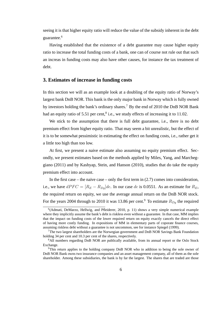seeing it is that higher equity ratio will reduce the value of the subsidy inherent in the debt guarantee.<sup>6</sup>

Having established that the existence of a debt guarantee may cause higher equity ratio to increase the total funding costs of a bank, one can of course not rule out that such an increas in funding costs may also have other causes, for instance the tax treatment of debt.

#### **3. Estimates of increase in funding costs**

In this section we will as an example look at a doubling of the equity ratio of Norway's largest bank DnB NOR. This bank is the only major bank in Norway which is fully owned by investors holding the bank's ordinary shares.<sup>7</sup> By the end of 2010 the DnB NOR Bank had an equity ratio of 5.51 per cent, $^8$  i.e., we study effects of increasing it to 11.02.

We stick to the assumption that there is full debt guarantee, i.e., there is no debt premium effect from higher equity ratio. That may seem a bit unrealistic, but the effect of it is to be somewhat pessimistic in estimating the effect on funding costs, i.e., rather get it a little too high than too low.

At first, we present a naive estimate also assuming no equity premium effect. Secondly, we present estimates based on the methods applied by Miles, Yang, and Marcheggiano (2011) and by Kashyap, Stein, and Hanson (2010), studies that do take the equity premium effect into account.

In the first case – the naive case – only the first term in  $(2.7)$  comes into consideration, i.e., we have  $dPFC = [R_E - R_{Da}]$ de. In our case de is 0.0551. As an estimate for  $R_E$ , the required return on equity, we use the average annual return on the DnB NOR stock. For the years 2004 through to 2010 it was 13.86 per cent.<sup>9</sup> To estimate  $R_{Da}$  the required

<sup>&</sup>lt;sup>6</sup>(Admati, DeMarzo, Hellwig, and Pfleiderer, 2010, p. 11) shows a very simple numerical example where they implicitly assume the bank's debt is riskless even without a guarantee. In that case, MM implies that the impact on funding costs of the lower required return on equity exactly cancels the direct effect of having more costly funding. In expositions of MM in elementary parts of coporate finance courses, assuming riskless debt without a guarantee is not uncommon, see for instance Spiegel (1999).

 $7$ The two largest shareholders are the Norwegian government and DnB NOR Savings Bank Foundation holding 34 per cent and 10.3 per cent of the shares, respectively.

<sup>&</sup>lt;sup>8</sup>All numbers regarding DnB NOR are publically available, from its annual report or the Oslo Stock Exchange.

<sup>&</sup>lt;sup>9</sup>This return applies to the holding company DnB NOR who in addition to being the sole owner of DnB NOR Bank owns two insurance companies and an asset management company, all of them as the sole shareholder. Among these subsidiaries, the bank is by far the largest. The shares that are traded are those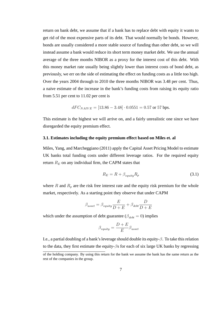return on bank debt, we assume that if a bank has to replace debt with equity it wants to get rid of the most expensive parts of its debt. That would normally be bonds. However, bonds are usually considered a more stable source of funding than other debt, so we will instead assume a bank would reduce its short term money market debt. We use the annual average of the three months NIBOR as a proxy for the interest cost of this debt. With this money market rate usually being slightly lower than interest costs of bond debt, as previously, we err on the side of estimating the effect on funding costs as a little too high. Over the years 2004 through to 2010 the three months NIBOR was 3.48 per cent. Thus, a naive estimate of the increase in the bank's funding costs from raising its equity ratio from 5.51 per cent to 11.02 per cent is

$$
dFC_{NAIVE} = [13.86 - 3.48] \cdot 0.0551 = 0.57 \text{ or } 57 \text{ bps}.
$$

This estimate is the highest we will arrive on, and a fairly unrealistic one since we have disregarded the equity premium effect.

#### **3.1. Estimates including the equity premium effect based on Miles et. al**

Miles, Yang, and Marcheggiano (2011) apply the Capital Asset Pricing Model to estimate UK banks total funding costs under different leverage ratios. For the required equity return  $R_E$  on any individual firm, the CAPM states that

$$
R_E = R + \beta_{equity} R_p \tag{3.1}
$$

where R and  $R_p$  are the risk free interest rate and the equity risk premium for the whole market, respectively. As a starting point they observe that under CAPM

$$
\beta_{asset} = \beta_{equity} \frac{E}{D+E} + \beta_{debt} \frac{D}{D+E}
$$

which under the assumption of debt guarantee ( $\beta_{debt} = 0$ ) implies

$$
\beta_{equity} = \frac{D+E}{E} \beta_{asset}
$$

I.e., a partial doubling of a bank's leverage should double its equity- $\beta$ . To take this relation to the data, they first estimate the equity- $\beta$ s for each of six large UK banks by regressing

of the holding company. By using this return for the bank we assume the bank has the same return as the rest of the companies in the group.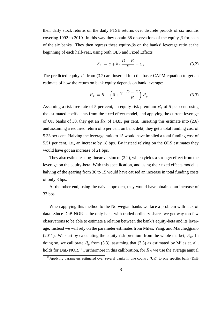their daily stock returns on the daily FTSE returns over discrete periods of six months covering 1992 to 2010. In this way they obtain 38 observations of the equity- $\beta$  for each of the six banks. They then regress these equity- $\beta$ s on the banks' leverage ratio at the beginning of each half-year, using both OLS and Fixed Effects

$$
\beta_{i,t} = a + b \cdot \frac{D+E}{E} + \epsilon_{i,t} \tag{3.2}
$$

The predicted equity- $\beta$ s from (3.2) are inserted into the basic CAPM equation to get an estimate of how the return on bank equity depends on bank leverage:

$$
R_E = R + \left(\hat{a} + \hat{b} \cdot \frac{D + E}{E}\right) R_p \tag{3.3}
$$

Assuming a risk free rate of 5 per cent, an equity risk premium  $R_p$  of 5 per cent, using the estimated coefficients from the fixed effect model, and applying the current leverage of UK banks of 30, they get an  $R_E$  of 14.85 per cent. Inserting this estimate into (2.6) and assuming a required return of 5 per cent on bank debt, they get a total funding cost of 5.33 per cent. Halving the leverage ratio to 15 would have implied a total funding cost of 5.51 per cent, i.e., an increase by 18 bps. By instead relying on the OLS estimates they would have got an increase of 21 bps.

They also estimate a log-linear version of (3.2), which yields a stronger effect from the leverage on the equity-beta. With this specification, and using their fixed effects model, a halving of the gearing from 30 to 15 would have caused an increase in total funding costs of only 8 bps.

At the other end, using the naive approach, they would have obtained an increase of 33 bps.

When applying this method to the Norwegian banks we face a problem with lack of data. Since DnB NOR is the only bank with traded ordinary shares we get way too few observations to be able to estimate a relation between the bank's equity-beta and its leverage. Instead we will rely on the parameter estimates from Miles, Yang, and Marcheggiano (2011). We start by calculating the equity risk premium from the whole market,  $R_p$ . In doing so, we callibrate  $R_p$  from (3.3), assuming that (3.3) as estimated by Miles et. al., holds for DnB NOR.<sup>10</sup> Furthermore in this callibration, for  $R_E$  we use the average annual

<sup>&</sup>lt;sup>10</sup>Applying parameters estimated over several banks in one country (UK) to one specific bank (DnB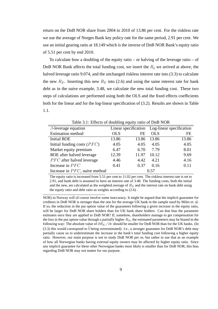return on the DnB NOR share from 2004 to 2010 of 13.86 per cent. For the riskless rate we use the average of Norges Bank key policy rate for the same period, 2.91 per cent. We use an initial gearing ratio at 18.149 which is the inverse of DnB NOR Bank's equity ratio of 5.51 per cent by end 2010.

To calculate how a doubling of the equity ratio – or halving of the leverage ratio – of DnB NOR Bank affects the total funding cost, we insert the  $R_p$  we arrived at above, the halved leverage ratio 9.074, and the unchanged riskless interest rate into (3.3) to calculate the new  $R_E$ . Inserting this new  $R_E$  into (2.6) and using the same interest rate for bank debt as in the naive example, 3.48, we calculate the new total funding cost. These two steps of calculations are performed using both the OLS and the fixed effects coefficients both for the linear and for the log-linear specification of (3.2). Results are shown in Table 1.1.

| $\beta$ -leverage equation       |            |       | Linear specification Log-linear specification |       |
|----------------------------------|------------|-------|-----------------------------------------------|-------|
| <b>Estimation method</b>         | <b>OLS</b> | FE    | <b>OLS</b>                                    | FE    |
| <b>Initial ROE</b>               | 13.86      | 13.86 | 13.86                                         | 13.86 |
| Initial funding costs $(PFC)$    | 4.05       | 4.05  | 4.05                                          | 4.05  |
| Market equity premium            | 6.47       | 6.70  | 7.79                                          | 8.01  |
| ROE after halved leverage        | 12.39      | 11.97 | 10.12                                         | 9.69  |
| <i>PFC</i> after halved leverage | 4.46       | 4.42  | 4.21                                          | 4.16  |
| Increase in $PFC$                | 0.41       | 0.37  | 0.16                                          | 0.11  |
| Increase in $PFC$ , naive method | 0.57       |       |                                               |       |

Table 3.1: Effects of doubling equity ratio of DnB NOR

The equity ratio is increased from 5.51 per cent to 11.02 per cent. The riskless interest rate is set to 2.91, and bank debt is assumed to have an interest rate of 3.48. The funding costs, both the initial and the new, are calculated as the weighted average of  $R_E$  and the interest rate on bank debt using the equity ratio and debt ratio as weights according to (2.6) .

NOR) in Norway will of course involve some inaccuracy. It might be argued that the implicit guarantee for creditors in DnB NOR is stronger than the one for the average UK bank in the sample used by Miles et. al. If so, the reduction in the put option value of the guarantees following a given increase in the equity ratio, will be larger for DnB NOR share holders than for UK bank share holders. Can that bias the parameter estimates once they are applied to DnB NOR? If, somehow, shareholders manage to get compensation for the loss in the put option value through a partially higher  $R_E$ , the estimated parameters may be biased in the following way: The absolute value of  $\partial R_E \diagup \partial e$  should be smaller for DnB NOR than for the UK banks. (In (3.3) this would correspond to  $\hat{b}$  being overestimated). I.e., a stronger guarantee for DnB NOR's debt may partially cause us to underestimate the increase in the bank's total funding cost following a higher equity ratio. However, our main purpose is not to study DnB NOR per se, but rather to use that as an example of how all Norwegian banks having external equity owners may be affected by higher equity ratio. Since any implicit guarantee for these other Norwegian banks most likely is smaller than for DnB NOR, this bias regarding DnB NOR may not matter for our purpose.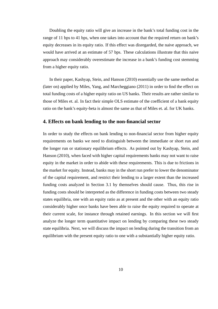Doubling the equity ratio will give an increase in the bank's total funding cost in the range of 11 bps to 41 bps, when one takes into account that the required return on bank's equity decreases in its equity ratio. If this effect was disregarded, the naive approach, we would have arrived at an estimate of 57 bps. These calculations illustrate that this naive approach may considerably overestimate the increase in a bank's funding cost stemming from a higher equity ratio.

In their paper, Kashyap, Stein, and Hanson (2010) essentially use the same method as (later on) applied by Miles, Yang, and Marcheggiano (2011) in order to find the effect on total funding costs of a higher equity ratio on US banks. Their results are rather similar to those of Miles et. al. In fact their simple OLS estimate of the coefficient of a bank equity ratio on the bank's equity-beta is almost the same as that of Miles et. al. for UK banks.

#### **4. Effects on bank lending to the non-financial sector**

In order to study the effects on bank lending to non-financial sector from higher equity requirements on banks we need to distinguish between the immediate or short run and the longer run or stationary equilibrium effects. As pointed out by Kashyap, Stein, and Hanson (2010), when faced with higher capital requirements banks may not want to raise equity in the market in order to abide with these requirements. This is due to frictions in the market for equity. Instead, banks may in the short run prefer to lower the denominator of the capital requirement, and restrict their lending to a larger extent than the increased funding costs analyzed in Section 3.1 by themselves should cause. Thus, this rise in funding costs should be interpreted as the difference in funding costs between two steady states equilibria, one with an equity ratio as at present and the other with an equity ratio considerably higher once banks have been able to raise the equity required to operate at their current scale, for instance through retained earnings. In this section we will first analyze the longer term quantitative impact on lending by comparing these two steady state equilibria. Next, we will discuss the impact on lending during the transition from an equilibrium with the present equity ratio to one with a substantially higher equity ratio.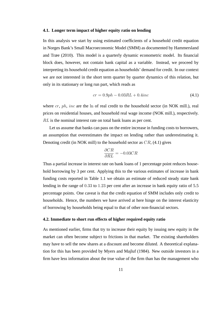#### **4.1. Longer term impact of higher equity ratio on lending**

In this analysis we start by using estimated coefficients of a household credit equation in Norges Bank's Small Macroeconomic Model (SMM) as documented by Hammersland and Træe (2010). This model is a quarterly dynamic econometric model. Its financial block does, however, not contain bank capital as a variable. Instead, we proceed by interpreting its household credit equation as households' demand for credit. In our context we are not interested in the short term quarter by quarter dynamics of this relation, but only in its stationary or long run part, which reads as

$$
cr = 0.9ph - 0.03RL + 0.4inc \tag{4.1}
$$

where cr, ph, inc are the ln of real credit to the household sector (in NOK mill.), real prices on residential houses, and household real wage income (NOK mill.), respectively. RL is the nominal interest rate on total bank loans as per cent.

Let us assume that banks can pass on the entire increase in funding costs to borrowers, an assumption that overestimates the impact on lending rather than underestimating it. Denoting credit (in NOK mill) to the household sector as  $CR$ , (4.1) gives

$$
\frac{\partial CR}{\partial RL} = -0.03CR
$$

Thus a partial increase in interest rate on bank loans of 1 percentage point reduces household borrowing by 3 per cent. Applying this to the various estimates of increase in bank funding costs reported in Table 1.1 we obtain an estimate of reduced steady state bank lending in the range of 0.33 to 1.23 per cent after an increase in bank equity ratio of 5.5 percentage points. One caveat is that the credit equation of SMM includes only credit to households. Hence, the numbers we have arrived at here hinge on the interest elasticity of borrowing by households being equal to that of other non-financial sectors.

#### **4.2. Immediate to short run effects of higher required equity ratio**

As mentioned earlier, firms that try to increase their equity by issuing new equity in the market can often become subject to frictions in that market. The existing shareholders may have to sell the new shares at a discount and become diluted. A theoretical explanation for this has been provided by Myers and Majluf (1984). New outside investors in a firm have less information about the true value of the firm than has the management who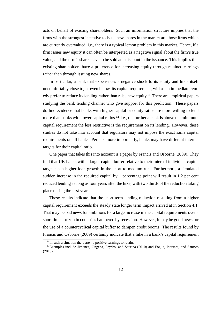acts on behalf of existing shareholders. Such an information structure implies that the firms with the strongest incentive to issue new shares in the market are those firms which are currently overvalued, i.e., there is a typical lemon problem in this market. Hence, if a firm issues new equity it can often be interpreted as a negative signal about the firm's true value, and the firm's shares have to be sold at a discount in the issuance. This implies that existing shareholders have a preference for increasing equity through retained earnings rather than through issuing new shares.

In particular, a bank that experiences a negative shock to its equity and finds itself uncomfortably close to, or even below, its capital requirement, will as an immediate remedy prefer to reduce its lending rather than raise new equity.<sup>11</sup> There are empirical papers studying the bank lending channel who give support for this prediction. These papers do find evidence that banks with higher capital or equity ratios are more willing to lend more than banks with lower capital ratios.<sup>12</sup> I.e., the further a bank is above the minimum capital requirement the less restrictive is the requirement on its lending. However, these studies do not take into account that regulators may not impose the exact same capital requirements on all banks. Perhaps more importantly, banks may have different internal targets for their capital ratio.

One paper that takes this into account is a paper by Francis and Osborne (2009). They find that UK banks with a larger capital buffer relative to their internal individual capital target has a higher loan growth in the short to medium run. Furthermore, a simulated sudden increase in the required capital by 1 percentage point will result in 1.2 per cent reduced lending as long as four years after the hike, with two thirds of the reduction taking place during the first year.

These results indicate that the short term lending reduction resulting from a higher capital requirement exceeds the steady state longer term impact arrived at in Section 4.1. That may be bad news for ambitions for a large increase in the capital requirements over a short time horizon in countries hampered by recession. However, it may be good news for the use of a countercyclical capital buffer to dampen credit booms. The results found by Francis and Osborne (2009) certainly indicate that a hike in a bank's capital requirement

 $11$ In such a situation there are no positive earnings to retain.

<sup>&</sup>lt;sup>12</sup>Examples include Jimenez, Ongena, Peydro, and Saurina (2010) and Foglia, Piersant, and Santoto (2010).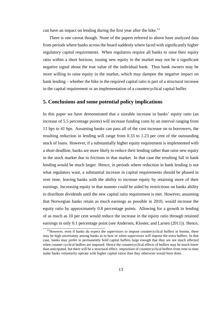can have an impact on lending during the first year after the hike.<sup>13</sup>

There is one caveat though. None of the papers referred to above have analyzed data from periods where banks across the board suddenly where faced with significantly higher regulatory capital requirements. When regulators require all banks to raise their equity ratio within a short horizon, issuing new equity in the market may not be a significant negative signal about the true value of the individual bank. Thus bank owners may be more willing to raise equity in the market, which may dampen the negative impact on bank lending – whether the hike in the required capital ratio is part of a structural increase in the capital requirement or an implementation of a countercyclical capital buffer.

#### **5. Conclusions and some potential policy implications**

In this paper we have demonstrated that a sizeable increase in banks' equity ratio (an increase of 5.5 percentage points) will increase funding costs by an interval ranging from 11 bps to 41 bps. Assuming banks can pass all of the cost increase on to borrowers, the resulting reduction in lending will range from 0.33 to 1.23 per cent of the outstanding stock of loans. However, if a substantially higher equity requirement is implemented with a short deadline, banks are more likely to reduce their lending rather than raise new equity in the stock market due to frictions in that market. In that case the resulting fall in bank lending would be much larger. Hence, in periods where reduction in bank lending is not what regulators want, a substantial increase in capital requirements should be phased in over time, leaving banks with the ability to increase equity by retaining more of their earnings. Increasing equity in that manner could be aided by restrictions on banks ability to distribute dividends until the new capital ratio requirement is met. However, assuming that Norwegian banks retain as much earnings as possible in 2010, would increase the equity ratio by approximately 0.8 percentage points. Allowing for a growth in lending of as much as 10 per cent would reduce the increase in the equity ratio through retained earnings to only 0.1 percentage point (see Andersen, Kloster, and Larsen (2011)). Hence,

<sup>&</sup>lt;sup>13</sup>However, even if banks do expect the supervisors to impose countercyclical buffers in booms, there may be high uncertainty among banks as to how or when supervisors will impose the extra buffers. In that case, banks may prefer to permanently hold capital buffers large enough that they are not much affected when counter cyclical buffers are imposed. Hence the countercyclical effects of buffers may be much lower than anticipated, but there will be a structural effect: imposition of countercyclical buffers from time to time make banks voluntarily operate with higher capital ratios than they otherwise would have done.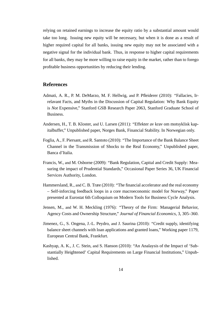relying on retained earnings to increase the equity ratio by a substantial amount would take too long. Issuing new equity will be necessary, but when it is done as a result of higher required capital for all banks, issuing new equity may not be associated with a negative signal for the individual bank. Thus, in response to higher capital requirements for all banks, they may be more willing to raise equity in the market, rather than to forego profitable business opportunities by reducing their lending.

#### **References**

- Admati, A. R., P. M. DeMarzo, M. F. Hellwig, and P. Pfleiderer (2010): "Fallacies, Irrelavant Facts, and Myths in the Discussion of Capital Regulation: Why Bank Equity is *Not* Expensive," Stanford GSB Research Paper 2063, Stanford Graduate School of Business.
- Andersen, H., T. B. Kloster, and U. Larsen (2011): "Effekter av krav om motsyklisk kapitalbuffer," Unpublished paper, Norges Bank, Financial Stability. In Norwegian only.
- Foglia, A., F. Piersant, and R. Santoto (2010): "The Importance of the Bank Balance Sheet Channel in the Transmission of Shocks to the Real Economy," Unpublished paper, Banca d'Italia.
- Francis, W., and M. Osborne (2009): "Bank Regulation, Capital and Credit Supply: Measuring the impact of Prudential Standards," Occasional Paper Series 36, UK Financial Services Authority, London.
- Hammersland, R., and C. B. Træe (2010): "The financial accelerator and the real economy – Self-inforcing feedback loops in a core macroeconomic model for Norway," Paper presented at Eurostat 6th Colloquium on Modern Tools for Business Cycle Analysis.
- Jensen, M., and W. H. Meckling (1976): "Theory of the Firm: Managerial Behavior, Agency Costs and Ownership Structure," *Journal of Financial Economics*, 3, 305–360.
- Jimenez, G., S. Ongena, J.-L. Peydro, and J. Saurina (2010): "Credit supply, identifying balance sheet channels with loan applications and granted loans," Working paper 1179, European Central Bank, Frankfurt.
- Kashyap, A. K., J. C. Stein, and S. Hanson (2010): "An Analaysis of the Impact of 'Substantially Heightened' Capital Requirements on Large Financial Institutions," Unpublished.